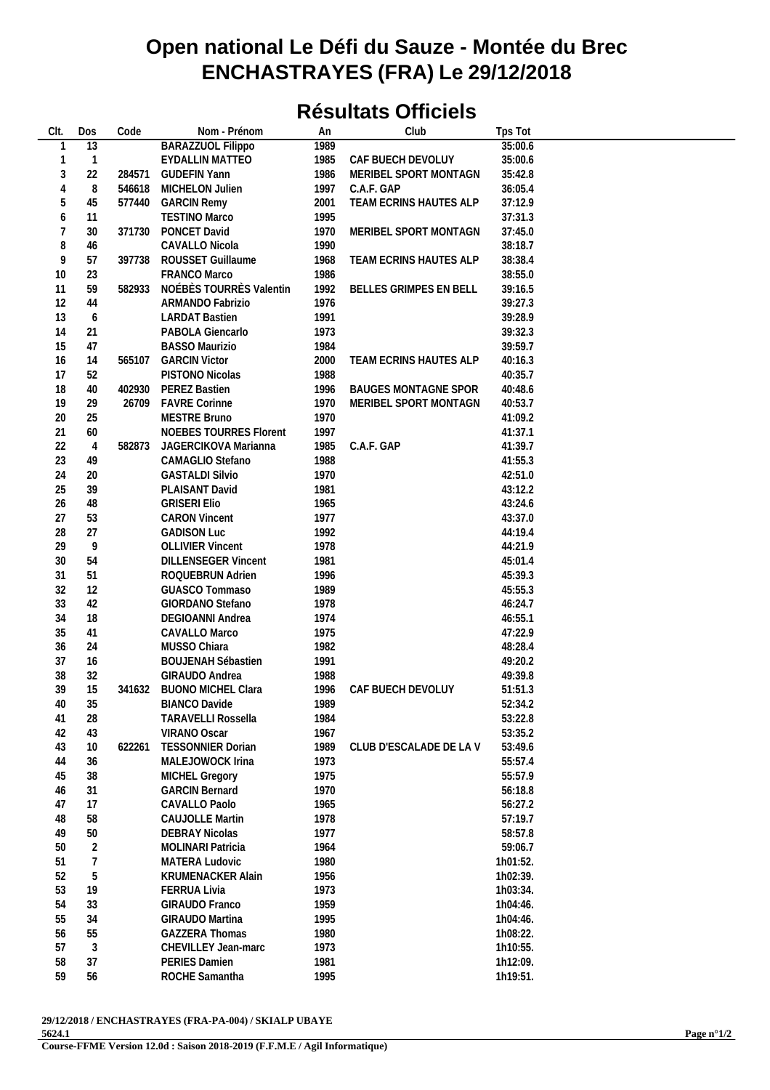## **Open national Le Défi du Sauze - Montée du Brec ENCHASTRAYES (FRA) Le 29/12/2018**

## **Résultats Officiels**

| CIt.       | Dos            | Code   | Nom - Prénom                                 | An           | Club                        | Tps Tot              |
|------------|----------------|--------|----------------------------------------------|--------------|-----------------------------|----------------------|
| 1          | 13             |        | <b>BARAZZUOL Filippo</b>                     | 1989         |                             | 35:00.6              |
| 1          | $\mathbf{1}$   |        | <b>EYDALLIN MATTEO</b>                       | 1985         | CAF BUECH DEVOLUY           | 35:00.6              |
| $\sqrt{3}$ | 22             | 284571 | <b>GUDEFIN Yann</b>                          | 1986         | MERIBEL SPORT MONTAGN       | 35:42.8              |
| 4          | 8              | 546618 | MICHELON Julien                              | 1997         | C.A.F. GAP                  | 36:05.4              |
| 5          | 45             | 577440 | <b>GARCIN Remy</b>                           | 2001         | TEAM ECRINS HAUTES ALP      | 37:12.9              |
| 6          | 11             |        | <b>TESTINO Marco</b>                         | 1995         |                             | 37:31.3              |
| 7          | 30             | 371730 | PONCET David                                 | 1970         | MERIBEL SPORT MONTAGN       | 37:45.0              |
| 8          | 46             |        | CAVALLO Nicola                               | 1990         |                             | 38:18.7              |
| 9          | 57             | 397738 | ROUSSET Guillaume                            | 1968         | TEAM ECRINS HAUTES ALP      | 38:38.4              |
| 10         | 23             |        | FRANCO Marco                                 | 1986         |                             | 38:55.0              |
| 11         | 59             | 582933 | NOÉBÈS TOURRÈS Valentin                      | 1992         | BELLES GRIMPES EN BELL      | 39:16.5              |
| 12         | 44             |        | ARMANDO Fabrizio                             | 1976         |                             | 39:27.3              |
| 13         | 6              |        | <b>LARDAT Bastien</b>                        | 1991         |                             | 39:28.9              |
| 14         | 21             |        | PABOLA Giencarlo                             | 1973         |                             | 39:32.3              |
| 15         | 47             |        | <b>BASSO Maurizio</b>                        | 1984         |                             | 39:59.7              |
| 16         | 14             | 565107 | <b>GARCIN Victor</b>                         | 2000         | TEAM ECRINS HAUTES ALP      | 40:16.3              |
| 17         | 52             |        | PISTONO Nicolas                              | 1988         |                             | 40:35.7              |
| 18         | 40             | 402930 | PEREZ Bastien                                | 1996         | <b>BAUGES MONTAGNE SPOR</b> | 40:48.6              |
| 19         | 29             | 26709  | <b>FAVRE Corinne</b>                         | 1970         | MERIBEL SPORT MONTAGN       | 40:53.7              |
| $20\,$     | 25             |        | MESTRE Bruno                                 | 1970         |                             | 41:09.2              |
| 21         | 60             |        | <b>NOEBES TOURRES Florent</b>                | 1997         |                             | 41:37.1              |
| 22         | $\overline{4}$ | 582873 | JAGERCIKOVA Marianna                         | 1985         | C.A.F. GAP                  | 41:39.7              |
| 23         | 49             |        | CAMAGLIO Stefano                             | 1988         |                             | 41:55.3              |
| 24         | 20             |        | <b>GASTALDI Silvio</b>                       | 1970         |                             | 42:51.0              |
| 25         | 39             |        | PLAISANT David                               | 1981         |                             | 43:12.2              |
| 26         | 48             |        | <b>GRISERI Elio</b>                          | 1965         |                             | 43:24.6              |
| 27         | 53             |        | <b>CARON Vincent</b>                         | 1977         |                             | 43:37.0              |
| 28         | 27             |        | <b>GADISON Luc</b>                           | 1992         |                             | 44:19.4              |
| 29         | 9              |        | <b>OLLIVIER Vincent</b>                      | 1978         |                             | 44:21.9              |
| 30         | 54             |        | <b>DILLENSEGER Vincent</b>                   | 1981         |                             | 45:01.4              |
| 31         | 51             |        | ROQUEBRUN Adrien                             | 1996         |                             | 45:39.3              |
| 32         | 12             |        | GUASCO Tommaso                               | 1989         |                             | 45:55.3              |
| 33         | 42             |        | GIORDANO Stefano                             | 1978         |                             | 46:24.7              |
| 34         | 18             |        | DEGIOANNI Andrea                             | 1974         |                             | 46:55.1              |
| 35         | 41             |        | CAVALLO Marco                                | 1975         |                             | 47:22.9              |
| 36         | 24             |        | MUSSO Chiara                                 | 1982         |                             | 48:28.4              |
| 37         | 16             |        | <b>BOUJENAH Sébastien</b>                    | 1991         |                             | 49:20.2              |
| 38         | 32             |        | GIRAUDO Andrea                               | 1988         |                             | 49:39.8              |
| 39         | 15             | 341632 | <b>BUONO MICHEL Clara</b>                    | 1996         | CAF BUECH DEVOLUY           | 51:51.3              |
| 40         | 35             |        | <b>BIANCO Davide</b>                         | 1989         |                             | 52:34.2              |
| 41         | 28             |        | <b>TARAVELLI Rossella</b>                    | 1984         |                             | 53:22.8              |
| 42         | 43             |        | VIRANO Oscar                                 | 1967         |                             | 53:35.2              |
| 43         | 10             | 622261 | <b>TESSONNIER Dorian</b>                     | 1989         | CLUB D'ESCALADE DE LA V     | 53:49.6              |
| 44         | 36             |        | MALEJOWOCK Irina                             | 1973         |                             | 55:57.4              |
| 45         | 38             |        | MICHEL Gregory                               | 1975         |                             | 55:57.9              |
| 46         | 31             |        | <b>GARCIN Bernard</b>                        | 1970         |                             | 56:18.8              |
| 47         | 17             |        | CAVALLO Paolo                                | 1965         |                             | 56:27.2              |
| 48         | 58             |        | <b>CAUJOLLE Martin</b>                       | 1978         |                             | 57:19.7              |
| 49         | 50             |        | <b>DEBRAY Nicolas</b>                        | 1977         |                             | 58:57.8              |
| 50         | $\sqrt{2}$     |        | <b>MOLINARI Patricia</b>                     | 1964         |                             | 59:06.7              |
| 51         | 7              |        | MATERA Ludovic                               | 1980         |                             | 1h01:52.             |
| 52         | 5              |        | <b>KRUMENACKER Alain</b>                     | 1956         |                             | 1h02:39.             |
| 53         | 19             |        | <b>FERRUA Livia</b>                          | 1973         |                             | 1h03:34.             |
| 54         | 33             |        | GIRAUDO Franco                               | 1959         |                             | 1h04:46.             |
| 55         | 34             |        | <b>GIRAUDO Martina</b>                       | 1995         |                             | 1h04:46.             |
| 56<br>57   | 55<br>3        |        | <b>GAZZERA Thomas</b><br>CHEVILLEY Jean-marc | 1980<br>1973 |                             | 1h08:22.<br>1h10:55. |
| 58         | 37             |        | <b>PERIES Damien</b>                         | 1981         |                             | 1h12:09.             |
| 59         | 56             |        | ROCHE Samantha                               | 1995         |                             | 1h19:51.             |
|            |                |        |                                              |              |                             |                      |